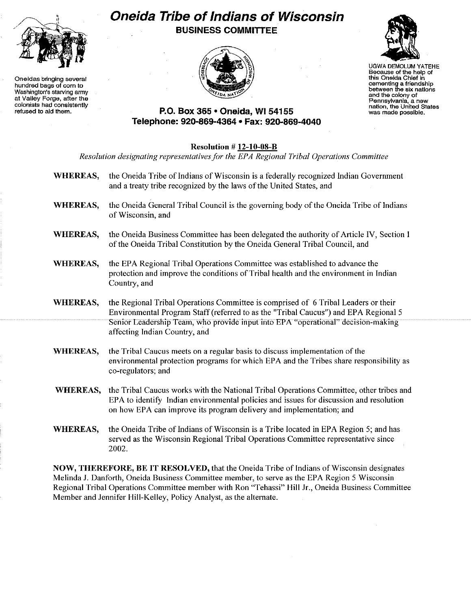

Oneidas bringing several hundred bags of corn to Washington's starving army at Valley Forge, after the colonists had consistently refused to aid them.

## **Oneida Tribe of Indians of Wisconsin** BUSINESS COMMITTEE





UGWA DEMOLUM YATEHE Because of the help of this Oneida Chief in cementing a friendship between the six nations and the colony of<br>Pennsylvania, a new nation, the United States<br>was made possible.

## P.O. Box 365· Oneida, WI 54155 Telephone: 920-869-4364 • Fax: 920-869-4040

## Resolution # 12-10-08-B *Resolution designating representativesfor the EPA Regional Tribal Operations Committee* WHEREAS, the Oneida Tribe of Indians of Wisconsin is a federally recognized Indian Government and a treaty tribe recognized by the laws of the United States, and WHEREAS, the Oneida General Tribal Council is the governing body of the Oneida Tribe of Indians of Wisconsin, and WHEREAS, the Oneida Business Committee has been delegated the authority of Article IV, Section I of the Oneida Tribal Constitution by the Oneida General Tribal Council, and WHEREAS, the EPA Regional Tribal Operations Committee was established to advance the protection and improve the conditions of Tribal health and the environment in Indian Country, and WHEREAS, the Regional Tribal Operations Committee is comprised of 6 Tribal Leaders or their Environmental Program Staff (referred to as the "Tribal Caucus") and EPA Regional 5 Senior Leadership Team, who provide input into EPA "operational" decision-making affecting Indian Country, and WHEREAS, the Tribal Caucus meets on a regular basis to discuss implementation of the environmental protection programs for which EPA and the Tribes share responsibility as co-regulators; and WHEREAS, the Tribal Caucus works with the National Tribal Operations Committee, other tribes and EPA to identify Indian environmental policies and issues for discussion and resolution on how EPA can improve its program delivery and implementation; and WHEREAS, the Oneida Tribe of Indians of Wisconsin is a Tribe located in EPA Region 5; and has served as the Wisconsin Regional Tribal Operations Committee representative since 2002. NOW, THEREFORE, BE IT RESOLVED, that the Oneida Tribe of Indians of Wisconsin designates

Melinda J. Danforth, Oneida Business Committee member, to serve as the EPA Region 5 Wisconsin Regional Tribal Operations Committee member with Ron "Tehassi" Hill Jr., Oneida Business Committee Member and Jennifer Hill-Kelley, Policy Analyst, as the alternate.